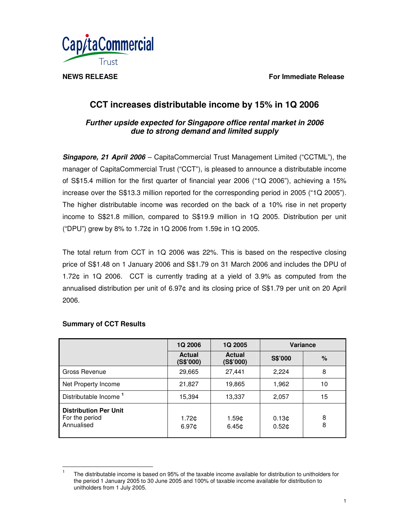**NEWS RELEASE For Immediate Release**



# **CCT increases distributable income by 15% in 1Q 2006**

# *Further upside expected for Singapore office rental market in 2006 due to strong demand and limited supply*

*Singapore, 21 April 2006* – CapitaCommercial Trust Management Limited ("CCTML"), the manager of CapitaCommercial Trust ("CCT"), is pleased to announce a distributable income of S\$15.4 million for the first quarter of financial year 2006 ("1Q 2006"), achieving a 15% increase over the S\$13.3 million reported for the corresponding period in 2005 ("1Q 2005"). The higher distributable income was recorded on the back of a 10% rise in net property income to S\$21.8 million, compared to S\$19.9 million in 1Q 2005. Distribution per unit ("DPU") grew by 8% to 1.72¢ in 1Q 2006 from 1.59¢ in 1Q 2005.

The total return from CCT in 1Q 2006 was 22%. This is based on the respective closing price of S\$1.48 on 1 January 2006 and S\$1.79 on 31 March 2006 and includes the DPU of 1.72¢ in 1Q 2006. CCT is currently trading at a yield of 3.9% as computed from the annualised distribution per unit of 6.97¢ and its closing price of S\$1.79 per unit on 20 April 2006.

|                                                              | <b>1Q 2006</b>             | 1Q 2005                    | <b>Variance</b>                        |        |
|--------------------------------------------------------------|----------------------------|----------------------------|----------------------------------------|--------|
|                                                              | <b>Actual</b><br>(S\$'000) | <b>Actual</b><br>(S\$'000) | S\$'000                                | $\%$   |
| Gross Revenue                                                | 29,665                     | 27,441                     | 2,224                                  | 8      |
| Net Property Income                                          | 21,827                     | 19,865                     | 1,962                                  | 10     |
| Distributable Income <sup>1</sup>                            | 15,394                     | 13,337                     | 2,057                                  | 15     |
| <b>Distribution Per Unit</b><br>For the period<br>Annualised | 1.72¢<br>6.97 <sub>0</sub> | 1.59¢<br>6.45 <sub>c</sub> | 0.13 <sub>c</sub><br>0.52 <sub>0</sub> | 8<br>8 |

# **Summary of CCT Results**

<sup>1</sup> The distributable income is based on 95% of the taxable income available for distribution to unitholders for the period 1 January 2005 to 30 June 2005 and 100% of taxable income available for distribution to unitholders from 1 July 2005.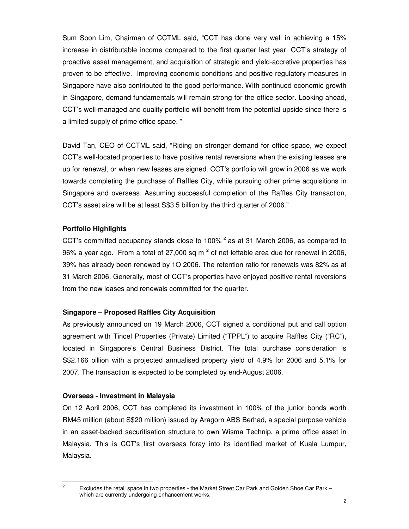Sum Soon Lim, Chairman of CCTML said, "CCT has done very well in achieving a 15% increase in distributable income compared to the first quarter last year. CCT's strategy of proactive asset management, and acquisition of strategic and yield-accretive properties has proven to be effective. Improving economic conditions and positive regulatory measures in Singapore have also contributed to the good performance. With continued economic growth in Singapore, demand fundamentals will remain strong for the office sector. Looking ahead, CCT's well-managed and quality portfolio will benefit from the potential upside since there is a limited supply of prime office space. "

David Tan, CEO of CCTML said, "Riding on stronger demand for office space, we expect CCT's well-located properties to have positive rental reversions when the existing leases are up for renewal, or when new leases are signed. CCT's portfolio will grow in 2006 as we work towards completing the purchase of Raffles City, while pursuing other prime acquisitions in Singapore and overseas. Assuming successful completion of the Raffles City transaction, CCT's asset size will be at least S\$3.5 billion by the third quarter of 2006."

### **Portfolio Highlights**

CCT's committed occupancy stands close to 100%  $^2$  as at 31 March 2006, as compared to 96% a year ago. From a total of 27,000 sq m  $^2$  of net lettable area due for renewal in 2006, 39% has already been renewed by 1Q 2006. The retention ratio for renewals was 82% as at 31 March 2006. Generally, most of CCT's properties have enjoyed positive rental reversions from the new leases and renewals committed for the quarter.

### **Singapore – Proposed Raffles City Acquisition**

As previously announced on 19 March 2006, CCT signed a conditional put and call option agreement with Tincel Properties (Private) Limited ("TPPL") to acquire Raffles City ("RC"), located in Singapore's Central Business District. The total purchase consideration is S\$2.166 billion with a projected annualised property yield of 4.9% for 2006 and 5.1% for 2007. The transaction is expected to be completed by end-August 2006.

### **Overseas - Investment in Malaysia**

On 12 April 2006, CCT has completed its investment in 100% of the junior bonds worth RM45 million (about S\$20 million) issued by Aragorn ABS Berhad, a special purpose vehicle in an asset-backed securitisation structure to own Wisma Technip, a prime office asset in Malaysia. This is CCT's first overseas foray into its identified market of Kuala Lumpur, Malaysia.

<sup>2</sup> Excludes the retail space in two properties - the Market Street Car Park and Golden Shoe Car Park – which are currently undergoing enhancement works.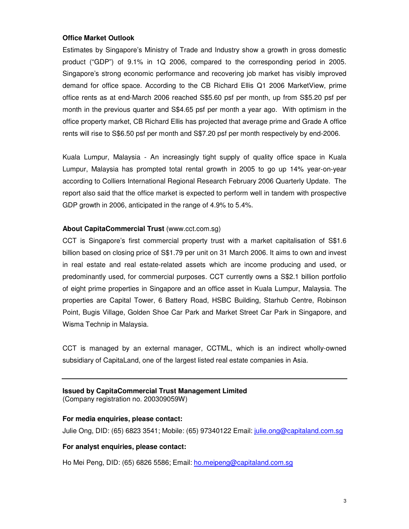#### **Office Market Outlook**

Estimates by Singapore's Ministry of Trade and Industry show a growth in gross domestic product ("GDP") of 9.1% in 1Q 2006, compared to the corresponding period in 2005. Singapore's strong economic performance and recovering job market has visibly improved demand for office space. According to the CB Richard Ellis Q1 2006 MarketView, prime office rents as at end-March 2006 reached S\$5.60 psf per month, up from S\$5.20 psf per month in the previous quarter and S\$4.65 psf per month a year ago. With optimism in the office property market, CB Richard Ellis has projected that average prime and Grade A office rents will rise to S\$6.50 psf per month and S\$7.20 psf per month respectively by end-2006.

Kuala Lumpur, Malaysia - An increasingly tight supply of quality office space in Kuala Lumpur, Malaysia has prompted total rental growth in 2005 to go up 14% year-on-year according to Colliers International Regional Research February 2006 Quarterly Update. The report also said that the office market is expected to perform well in tandem with prospective GDP growth in 2006, anticipated in the range of 4.9% to 5.4%.

#### **About CapitaCommercial Trust** (www.cct.com.sg)

CCT is Singapore's first commercial property trust with a market capitalisation of S\$1.6 billion based on closing price of S\$1.79 per unit on 31 March 2006. It aims to own and invest in real estate and real estate-related assets which are income producing and used, or predominantly used, for commercial purposes. CCT currently owns a S\$2.1 billion portfolio of eight prime properties in Singapore and an office asset in Kuala Lumpur, Malaysia. The properties are Capital Tower, 6 Battery Road, HSBC Building, Starhub Centre, Robinson Point, Bugis Village, Golden Shoe Car Park and Market Street Car Park in Singapore, and Wisma Technip in Malaysia.

CCT is managed by an external manager, CCTML, which is an indirect wholly-owned subsidiary of CapitaLand, one of the largest listed real estate companies in Asia.

#### **Issued by CapitaCommercial Trust Management Limited** (Company registration no. 200309059W)

# **For media enquiries, please contact:**

Julie Ong, DID: (65) 6823 3541; Mobile: (65) 97340122 Email: julie.ong@capitaland.com.sg

#### **For analyst enquiries, please contact:**

Ho Mei Peng, DID: (65) 6826 5586; Email: ho.meipeng@capitaland.com.sg